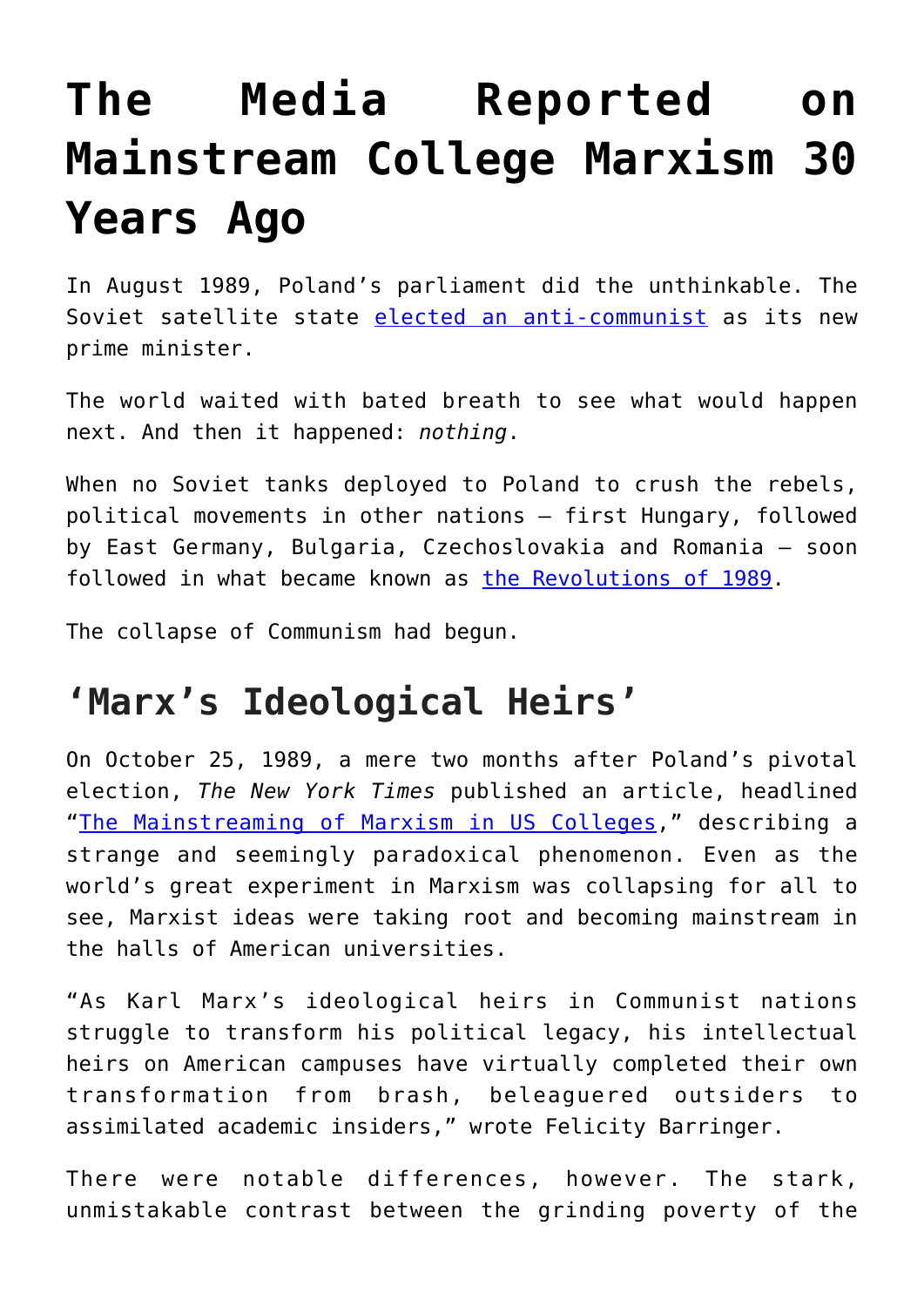## **[The Media Reported on](https://intellectualtakeout.org/2020/09/the-media-reported-on-mainstream-college-marxism-30-years-ago/) [Mainstream College Marxism 30](https://intellectualtakeout.org/2020/09/the-media-reported-on-mainstream-college-marxism-30-years-ago/) [Years Ago](https://intellectualtakeout.org/2020/09/the-media-reported-on-mainstream-college-marxism-30-years-ago/)**

In August 1989, Poland's parliament did the unthinkable. The Soviet satellite state [elected an anti-communist](https://en.wikipedia.org/wiki/Tadeusz_Mazowiecki#:~:text=listen)%3B%2018%20April%201927%20%E2%80%93,Polish%20prime%20minister%20since%201946.) as its new prime minister.

The world waited with bated breath to see what would happen next. And then it happened: *nothing*.

When no Soviet tanks deployed to Poland to crush the rebels, political movements in other nations – first Hungary, followed by East Germany, Bulgaria, Czechoslovakia and Romania – soon followed in what became known as [the Revolutions of 1989.](https://www.thenation.com/article/archive/empire-falls-revolutions-1989/)

The collapse of Communism had begun.

## **'Marx's Ideological Heirs'**

On October 25, 1989, a mere two months after Poland's pivotal election, *The New York Times* published an article, headlined "[The Mainstreaming of Marxism in US Colleges](https://www.nytimes.com/1989/10/25/us/education-the-mainstreaming-of-marxism-in-us-colleges.html?fbclid=IwAR3N1H0Hr6l7fJzT5-AmMAZE5kSljxAl5Bm8KRGibJ7IY6x1FbHINA39T00)," describing a strange and seemingly paradoxical phenomenon. Even as the world's great experiment in Marxism was collapsing for all to see, Marxist ideas were taking root and becoming mainstream in the halls of American universities.

"As Karl Marx's ideological heirs in Communist nations struggle to transform his political legacy, his intellectual heirs on American campuses have virtually completed their own transformation from brash, beleaguered outsiders to assimilated academic insiders," wrote Felicity Barringer.

There were notable differences, however. The stark, unmistakable contrast between the grinding poverty of the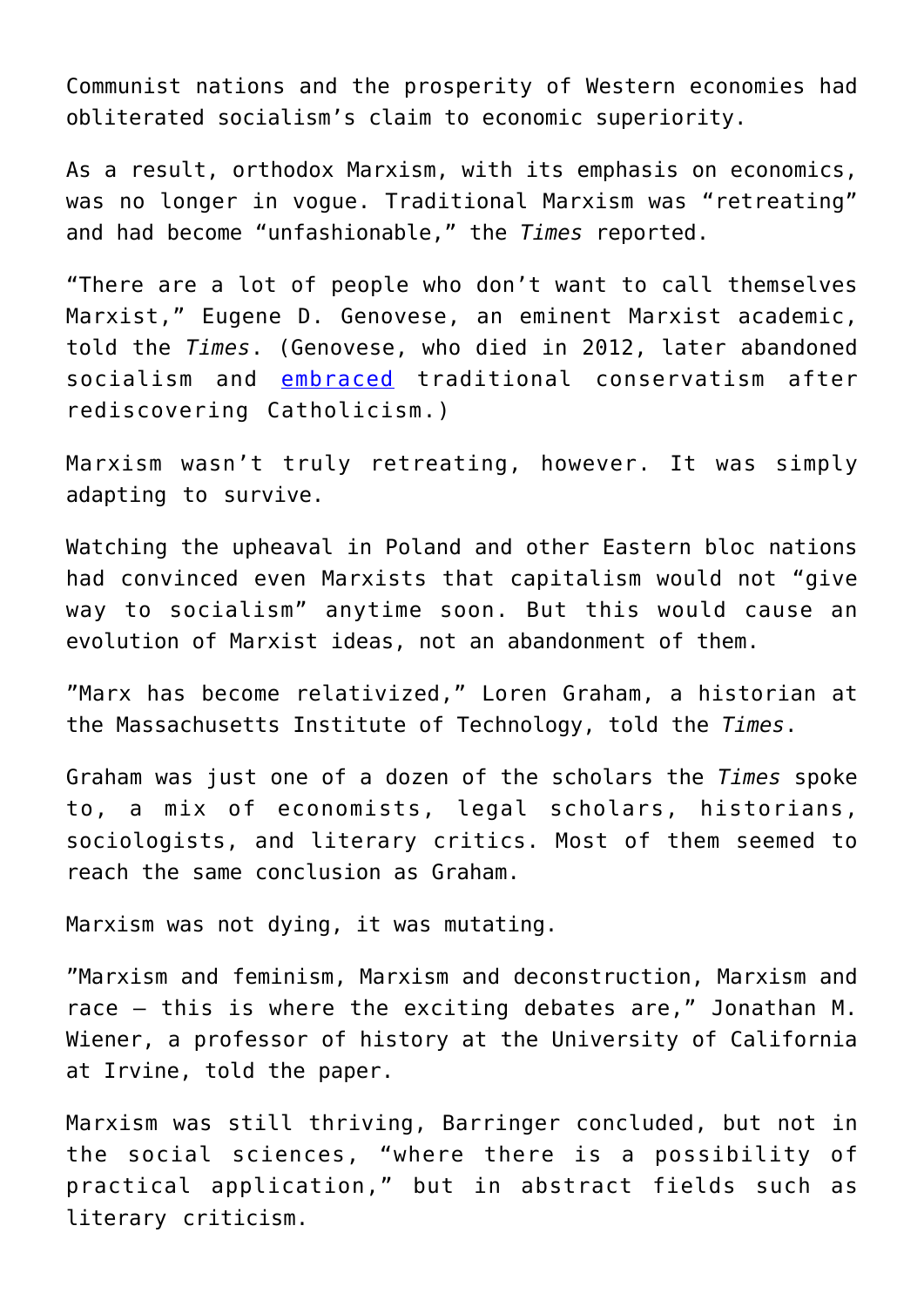Communist nations and the prosperity of Western economies had obliterated socialism's claim to economic superiority.

As a result, orthodox Marxism, with its emphasis on economics, was no longer in vogue. Traditional Marxism was "retreating" and had become "unfashionable," the *Times* reported.

"There are a lot of people who don't want to call themselves Marxist," Eugene D. Genovese, an eminent Marxist academic, told the *Times*. (Genovese, who died in 2012, later abandoned socialism and [embraced](https://web.archive.org/web/20100624103535/http://wf-f.org/09-02-Genovese.html) traditional conservatism after rediscovering Catholicism.)

Marxism wasn't truly retreating, however. It was simply adapting to survive.

Watching the upheaval in Poland and other Eastern bloc nations had convinced even Marxists that capitalism would not "give way to socialism" anytime soon. But this would cause an evolution of Marxist ideas, not an abandonment of them.

"Marx has become relativized," Loren Graham, a historian at the Massachusetts Institute of Technology, told the *Times*.

Graham was just one of a dozen of the scholars the *Times* spoke to, a mix of economists, legal scholars, historians, sociologists, and literary critics. Most of them seemed to reach the same conclusion as Graham.

Marxism was not dying, it was mutating.

"Marxism and feminism, Marxism and deconstruction, Marxism and race – this is where the exciting debates are," Jonathan M. Wiener, a professor of history at the University of California at Irvine, told the paper.

Marxism was still thriving, Barringer concluded, but not in the social sciences, "where there is a possibility of practical application," but in abstract fields such as literary criticism.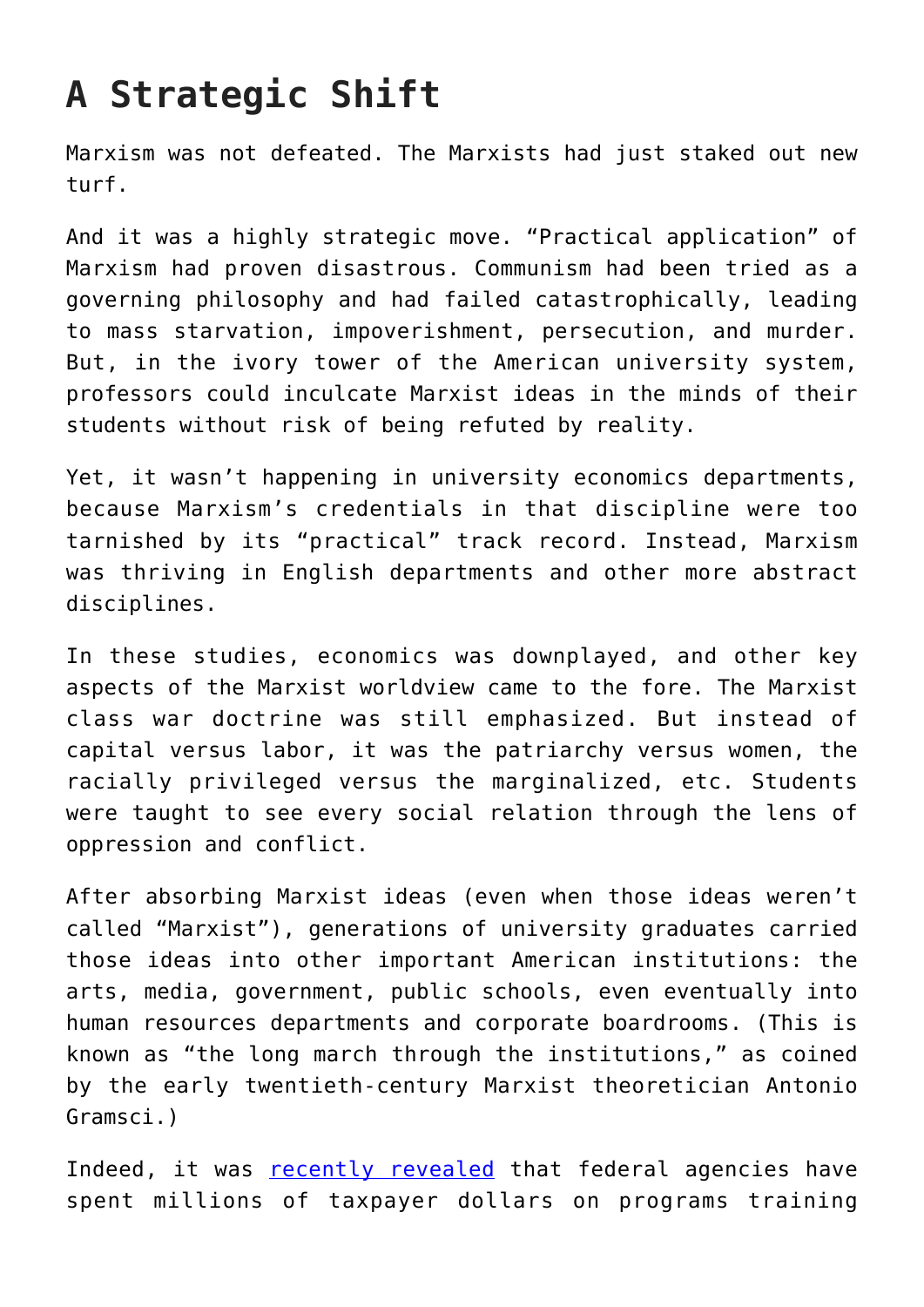## **A Strategic Shift**

Marxism was not defeated. The Marxists had just staked out new turf.

And it was a highly strategic move. "Practical application" of Marxism had proven disastrous. Communism had been tried as a governing philosophy and had failed catastrophically, leading to mass starvation, impoverishment, persecution, and murder. But, in the ivory tower of the American university system, professors could inculcate Marxist ideas in the minds of their students without risk of being refuted by reality.

Yet, it wasn't happening in university economics departments, because Marxism's credentials in that discipline were too tarnished by its "practical" track record. Instead, Marxism was thriving in English departments and other more abstract disciplines.

In these studies, economics was downplayed, and other key aspects of the Marxist worldview came to the fore. The Marxist class war doctrine was still emphasized. But instead of capital versus labor, it was the patriarchy versus women, the racially privileged versus the marginalized, etc. Students were taught to see every social relation through the lens of oppression and conflict.

After absorbing Marxist ideas (even when those ideas weren't called "Marxist"), generations of university graduates carried those ideas into other important American institutions: the arts, media, government, public schools, even eventually into human resources departments and corporate boardrooms. (This is known as "the long march through the institutions," as coined by the early twentieth-century Marxist theoretician Antonio Gramsci.)

Indeed, it was [recently revealed](https://www.realclearpolitics.com/articles/2020/09/04/trump_to_feds_stop_anti-american_training_on_white_privilege_144145.html) that federal agencies have spent millions of taxpayer dollars on programs training